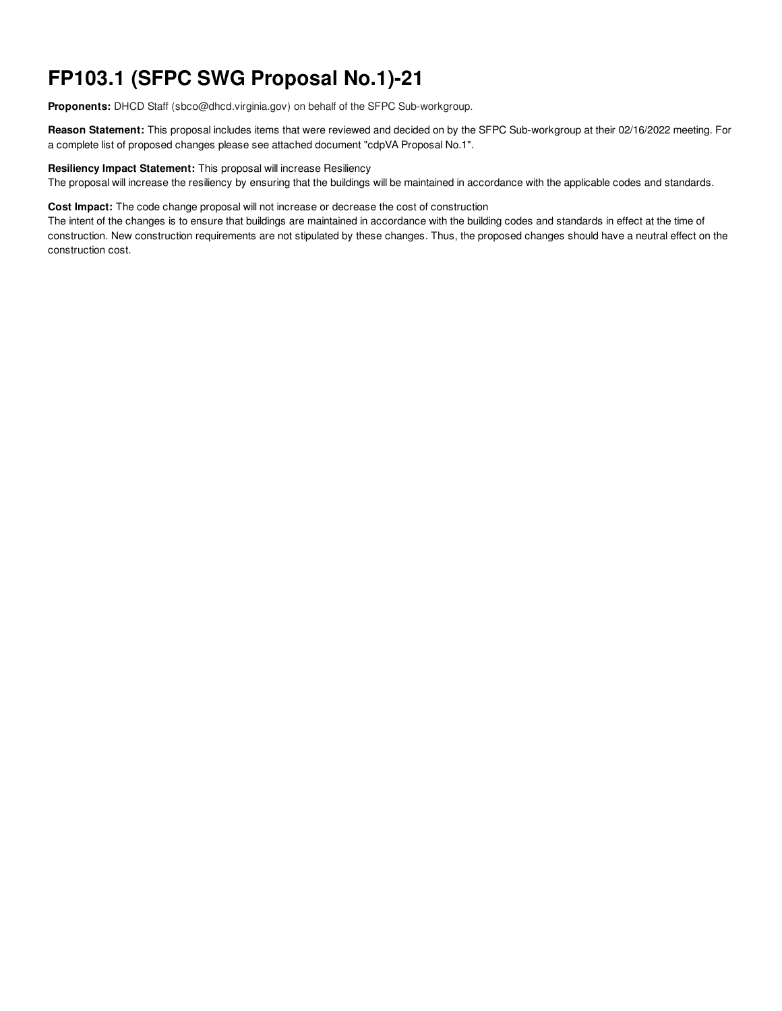# **FP103.1 (SFPC SWG Proposal No.1)-21**

**Proponents:** DHCD Staff (sbco@dhcd.virginia.gov) on behalf of the SFPC Sub-workgroup.

**Reason Statement:** This proposal includes items that were reviewed and decided on by the SFPC Sub-workgroup at their 02/16/2022 meeting. For a complete list of proposed changes please see attached document "cdpVA Proposal No.1".

#### **Resiliency Impact Statement:** This proposal will increase Resiliency

The proposal will increase the resiliency by ensuring that the buildings will be maintained in accordance with the applicable codes and standards.

**Cost Impact:** The code change proposal will not increase or decrease the cost of construction

The intent of the changes is to ensure that buildings are maintained in accordance with the building codes and standards in effect at the time of construction. New construction requirements are not stipulated by these changes. Thus, the proposed changes should have a neutral effect on the construction cost.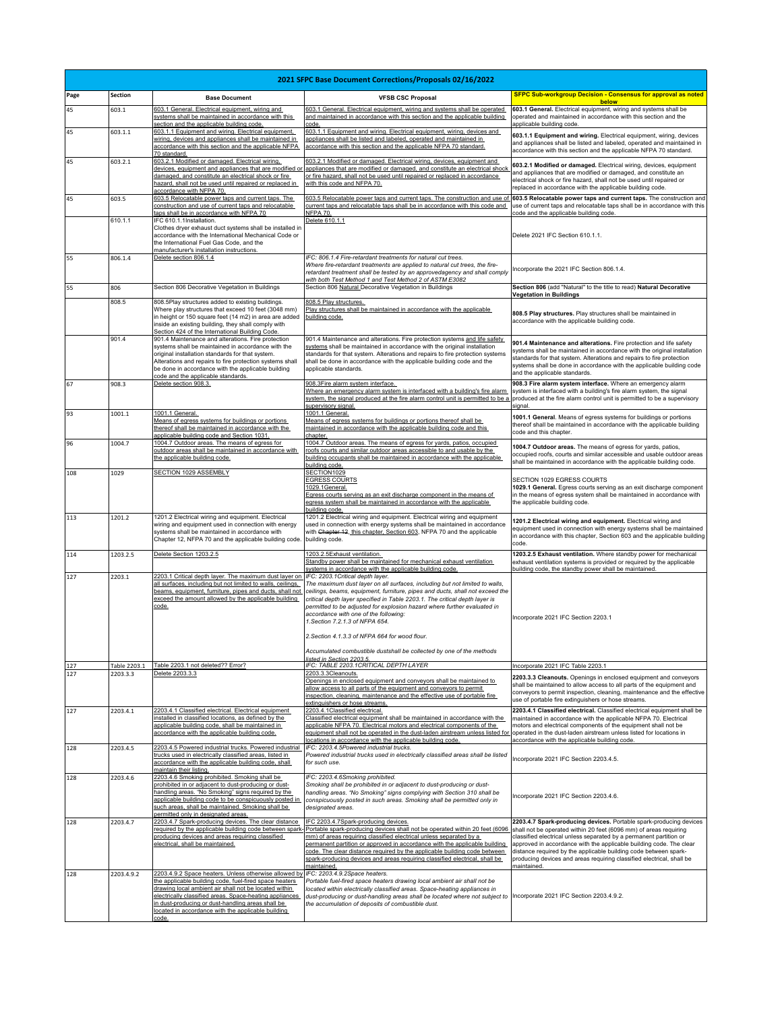| 2021 SFPC Base Document Corrections/Proposals 02/16/2022 |              |                                                                                                                                                                                                                                                                                                                                                     |                                                                                                                                                                                                                                                                                                                                                                                                                                                                                                                                                                  |                                                                                                                                                                                                                                                                                                                                                                                                                                                  |  |
|----------------------------------------------------------|--------------|-----------------------------------------------------------------------------------------------------------------------------------------------------------------------------------------------------------------------------------------------------------------------------------------------------------------------------------------------------|------------------------------------------------------------------------------------------------------------------------------------------------------------------------------------------------------------------------------------------------------------------------------------------------------------------------------------------------------------------------------------------------------------------------------------------------------------------------------------------------------------------------------------------------------------------|--------------------------------------------------------------------------------------------------------------------------------------------------------------------------------------------------------------------------------------------------------------------------------------------------------------------------------------------------------------------------------------------------------------------------------------------------|--|
| Page                                                     | Section      | <b>Base Document</b>                                                                                                                                                                                                                                                                                                                                | <b>VFSB CSC Proposal</b>                                                                                                                                                                                                                                                                                                                                                                                                                                                                                                                                         | <b>SFPC Sub-workgroup Decision - Consensus for approval as noted</b>                                                                                                                                                                                                                                                                                                                                                                             |  |
| 45                                                       | 603.1        | 603.1 General. Electrical equipment, wiring and<br>systems shall be maintained in accordance with this                                                                                                                                                                                                                                              | 603.1 General. Electrical equipment, wiring and systems shall be operated<br>and maintained in accordance with this section and the applicable building                                                                                                                                                                                                                                                                                                                                                                                                          | below<br>603.1 General. Electrical equipment, wiring and systems shall be<br>operated and maintained in accordance with this section and the                                                                                                                                                                                                                                                                                                     |  |
| 45                                                       | 603.1.1      | section and the applicable building code.<br>603.1.1 Equipment and wiring. Electrical equipment,<br>wiring, devices and appliances shall be maintained in<br>accordance with this section and the applicable NFPA<br>70 standard.                                                                                                                   | code<br>603.1.1 Equipment and wiring. Electrical equipment, wiring, devices and<br>appliances shall be listed and labeled, operated and maintained in<br>accordance with this section and the applicable NFPA 70 standard.                                                                                                                                                                                                                                                                                                                                       | applicable building code.<br>603.1.1 Equipment and wiring. Electrical equipment, wiring, devices<br>and appliances shall be listed and labeled, operated and maintained in<br>accordance with this section and the applicable NFPA 70 standard.                                                                                                                                                                                                  |  |
| 45                                                       | 603.2.1      | 603.2.1 Modified or damaged. Electrical wiring,<br>devices, equipment and appliances that are modified or<br>damaged, and constitute an electrical shock or fire<br>hazard, shall not be used until repaired or replaced in<br>accordance with NFPA 70.                                                                                             | 603.2.1 Modified or damaged. Electrical wiring, devices, equipment and<br>appliances that are modified or damaged, and constitute an electrical shoc<br>or fire hazard, shall not be used until repaired or replaced in accordance<br>with this code and NFPA 70.                                                                                                                                                                                                                                                                                                | 603.2.1 Modified or damaged. Electrical wiring, devices, equipment<br>and appliances that are modified or damaged, and constitute an<br>electrical shock or fire hazard, shall not be used until repaired or<br>replaced in accordance with the applicable building code.                                                                                                                                                                        |  |
| 45                                                       | 603.5        | 603.5 Relocatable power taps and current taps. The<br>construction and use of current taps and relocatable<br>taps shall be in accordance with NFPA 70                                                                                                                                                                                              | 603.5 Relocatable power taps and current taps. The construction and use o<br>current taps and relocatable taps shall be in accordance with this code and<br><b>NFPA 70.</b>                                                                                                                                                                                                                                                                                                                                                                                      | 603.5 Relocatable power taps and current taps. The construction and<br>use of current taps and relocatable taps shall be in accordance with this<br>code and the applicable building code.                                                                                                                                                                                                                                                       |  |
|                                                          | 610.1.1      | IFC 610.1.1Installation.<br>Clothes dryer exhaust duct systems shall be installed in<br>accordance with the International Mechanical Code or<br>the International Fuel Gas Code, and the<br>manufacturer's installation instructions.                                                                                                               | Delete 610.1.1                                                                                                                                                                                                                                                                                                                                                                                                                                                                                                                                                   | Delete 2021 IFC Section 610.1.1.                                                                                                                                                                                                                                                                                                                                                                                                                 |  |
| 55                                                       | 806.1.4      | Delete section 806.1.4                                                                                                                                                                                                                                                                                                                              | IFC: 806.1.4 Fire-retardant treatments for natural cut trees.<br>Where fire-retardant treatments are applied to natural cut trees, the fire-<br>retardant treatment shall be tested by an approvedagency and shall comply                                                                                                                                                                                                                                                                                                                                        | Incorporate the 2021 IFC Section 806.1.4.                                                                                                                                                                                                                                                                                                                                                                                                        |  |
| 55                                                       | 806          | Section 806 Decorative Vegetation in Buildings                                                                                                                                                                                                                                                                                                      | with both Test Method 1 and Test Method 2 of ASTM E3082<br>Section 806 Natural Decorative Vegetation in Buildings                                                                                                                                                                                                                                                                                                                                                                                                                                                | Section 806 (add "Natural" to the title to read) Natural Decorative                                                                                                                                                                                                                                                                                                                                                                              |  |
|                                                          | 808.5        | 808.5Play structures added to existing buildings.<br>Where play structures that exceed 10 feet (3048 mm)<br>in height or 150 square feet (14 m2) in area are added<br>inside an existing building, they shall comply with<br>Section 424 of the International Building Code.                                                                        | 808.5 Play structures.<br>Play structures shall be maintained in accordance with the applicable<br>building code.                                                                                                                                                                                                                                                                                                                                                                                                                                                | <b>Vegetation in Buildings</b><br>808.5 Play structures. Play structures shall be maintained in<br>accordance with the applicable building code.                                                                                                                                                                                                                                                                                                 |  |
|                                                          | 901.4        | 901.4 Maintenance and alterations. Fire protection<br>systems shall be maintained in accordance with the<br>original installation standards for that system.<br>Alterations and repairs to fire protection systems shall<br>be done in accordance with the applicable building<br>code and the applicable standards.                                | 901.4 Maintenance and alterations. Fire protection systems and life safety<br>systems shall be maintained in accordance with the original installation<br>standards for that system. Alterations and repairs to fire protection systems<br>shall be done in accordance with the applicable building code and the<br>applicable standards.                                                                                                                                                                                                                        | 901.4 Maintenance and alterations. Fire protection and life safety<br>systems shall be maintained in accordance with the original installation<br>standards for that system. Alterations and repairs to fire protection<br>systems shall be done in accordance with the applicable building code<br>and the applicable standards.                                                                                                                |  |
| 67                                                       | 908.3        | Delete section 908.3.                                                                                                                                                                                                                                                                                                                               | 908.3Fire alarm system interface.<br>Where an emergency alarm system is interfaced with a building's fire alarm<br>system, the signal produced at the fire alarm control unit is permitted to be a produced at the fire alarm control unit is permitted to be a supervisory<br>supervisory signal.                                                                                                                                                                                                                                                               | 908.3 Fire alarm system interface. Where an emergency alarm<br>system is interfaced with a building's fire alarm system, the signal<br>signal.                                                                                                                                                                                                                                                                                                   |  |
| 93                                                       | 1001.1       | 1001.1 General.<br>Means of egress systems for buildings or portions<br>thereof shall be maintained in accordance with the<br>applicable building code and Section 1031.                                                                                                                                                                            | 1001.1 General.<br>Means of egress systems for buildings or portions thereof shall be<br>maintained in accordance with the applicable building code and this<br>chapter.                                                                                                                                                                                                                                                                                                                                                                                         | 1001.1 General. Means of egress systems for buildings or portions<br>thereof shall be maintained in accordance with the applicable building<br>code and this chapter.                                                                                                                                                                                                                                                                            |  |
| 96                                                       | 1004.7       | 1004.7 Outdoor areas. The means of egress for<br>outdoor areas shall be maintained in accordance with<br>the applicable building code.                                                                                                                                                                                                              | 1004.7 Outdoor areas. The means of egress for yards, patios, occupied<br>roofs courts and similar outdoor areas accessible to and usable by the<br>building occupants shall be maintained in accordance with the applicable<br>building code.                                                                                                                                                                                                                                                                                                                    | 1004.7 Outdoor areas. The means of egress for yards, patios,<br>occupied roofs, courts and similar accessible and usable outdoor areas<br>shall be maintained in accordance with the applicable building code.                                                                                                                                                                                                                                   |  |
| 108                                                      | 1029         | SECTION 1029 ASSEMBLY                                                                                                                                                                                                                                                                                                                               | SECTION1029<br><b>EGRESS COURTS</b><br>1029.1General.<br>Egress courts serving as an exit discharge component in the means of<br>egress system shall be maintained in accordance with the applicable<br>building code.                                                                                                                                                                                                                                                                                                                                           | SECTION 1029 EGRESS COURTS<br>1029.1 General. Egress courts serving as an exit discharge component<br>in the means of egress system shall be maintained in accordance with<br>the applicable building code.                                                                                                                                                                                                                                      |  |
| 113                                                      | 1201.2       | 1201.2 Electrical wiring and equipment. Electrical<br>wiring and equipment used in connection with energy<br>systems shall be maintained in accordance with<br>Chapter 12, NFPA 70 and the applicable building code                                                                                                                                 | 1201.2 Electrical wiring and equipment. Electrical wiring and equipment<br>used in connection with energy systems shall be maintained in accordance<br>with Chapter 12, this chapter, Section 603, NFPA 70 and the applicable<br>building code.                                                                                                                                                                                                                                                                                                                  | 1201.2 Electrical wiring and equipment. Electrical wiring and<br>equipment used in connection with energy systems shall be maintained<br>in accordance with this chapter, Section 603 and the applicable building<br>code.                                                                                                                                                                                                                       |  |
| 114                                                      | 1203.2.5     | Delete Section 1203.2.5                                                                                                                                                                                                                                                                                                                             | 1203.2.5Exhaust ventilation.<br>Standby power shall be maintained for mechanical exhaust ventilation<br>systems in accordance with the applicable building code.                                                                                                                                                                                                                                                                                                                                                                                                 | 1203.2.5 Exhaust ventilation. Where standby power for mechanical<br>exhaust ventilation systems is provided or required by the applicable<br>building code, the standby power shall be maintained.                                                                                                                                                                                                                                               |  |
| 127                                                      | 2203.1       | 2203.1 Critical depth layer. The maximum dust layer on<br>all surfaces, including but not limited to walls, ceilings,<br>beams, equipment, furniture, pipes and ducts, shall not<br>exceed the amount allowed by the applicable building<br>code.                                                                                                   | IFC: 2203.1Critical depth layer.<br>The maximum dust layer on all surfaces, including but not limited to walls,<br>ceilings, beams, equipment, furniture, pipes and ducts, shall not exceed the<br>critical depth layer specified in Table 2203.1. The critical depth layer is<br>permitted to be adjusted for explosion hazard where further evaluated in<br>accordance with one of the following:<br>1. Section 7.2.1.3 of NFPA 654.<br>2. Section 4.1.3.3 of NFPA 664 for wood flour.<br>Accumulated combustible dustshall be collected by one of the methods | Incorporate 2021 IFC Section 2203.1                                                                                                                                                                                                                                                                                                                                                                                                              |  |
| 127                                                      | Table 2203.1 | Table 2203.1 not deleted?? Error?                                                                                                                                                                                                                                                                                                                   | listed in Section 2203.5.<br>IFC: TABLE 2203.1 CRITICAL DEPTH LAYER                                                                                                                                                                                                                                                                                                                                                                                                                                                                                              | Incorporate 2021 IFC Table 2203.1                                                                                                                                                                                                                                                                                                                                                                                                                |  |
| 127                                                      | 2203.3.3     | Delete 2203.3.3                                                                                                                                                                                                                                                                                                                                     | 2203.3.3Cleanouts.<br>Openings in enclosed equipment and conveyors shall be maintained to<br>allow access to all parts of the equipment and conveyors to permit<br>inspection, cleaning, maintenance and the effective use of portable fire<br>extinguishers or hose streams.                                                                                                                                                                                                                                                                                    | 2203.3.3 Cleanouts. Openings in enclosed equipment and conveyors<br>shall be maintained to allow access to all parts of the equipment and<br>conveyors to permit inspection, cleaning, maintenance and the effective<br>use of portable fire extinguishers or hose streams.                                                                                                                                                                      |  |
| 127                                                      | 2203.4.1     | 2203.4.1 Classified electrical. Electrical equipment<br>installed in classified locations, as defined by the<br>applicable building code, shall be maintained in<br>accordance with the applicable building code.                                                                                                                                   | 2203.4.1Classified electrical.<br>Classified electrical equipment shall be maintained in accordance with the<br>applicable NFPA 70. Electrical motors and electrical components of the<br>equipment shall not be operated in the dust-laden airstream unless listed fo<br>ocations in accordance with the applicable building code.                                                                                                                                                                                                                              | 2203.4.1 Classified electrical. Classified electrical equipment shall be<br>maintained in accordance with the applicable NFPA 70. Electrical<br>motors and electrical components of the equipment shall not be<br>operated in the dust-laden airstream unless listed for locations in<br>accordance with the applicable building code.                                                                                                           |  |
| 128                                                      | 2203.4.5     | 2203.4.5 Powered industrial trucks. Powered industrial<br>trucks used in electrically classified areas, listed in<br>accordance with the applicable building code, shall<br>maintain their listing.                                                                                                                                                 | IFC: 2203.4.5Powered industrial trucks.<br>Powered industrial trucks used in electrically classified areas shall be listed<br>for such use.                                                                                                                                                                                                                                                                                                                                                                                                                      | Incorporate 2021 IFC Section 2203.4.5.                                                                                                                                                                                                                                                                                                                                                                                                           |  |
| 128                                                      | 2203.4.6     | 2203.4.6 Smoking prohibited. Smoking shall be<br>prohibited in or adjacent to dust-producing or dust-<br>handling areas. "No Smoking" signs required by the<br>applicable building code to be conspicuously posted in<br>such areas, shall be maintained. Smoking shall be<br>permitted only in designated areas.                                   | IFC: 2203.4.6Smoking prohibited.<br>Smoking shall be prohibited in or adjacent to dust-producing or dust-<br>handling areas. "No Smoking" signs complying with Section 310 shall be<br>conspicuously posted in such areas. Smoking shall be permitted only in<br>designated areas.                                                                                                                                                                                                                                                                               | Incorporate 2021 IFC Section 2203.4.6.                                                                                                                                                                                                                                                                                                                                                                                                           |  |
| 128                                                      | 2203.4.7     | 2203.4.7 Spark-producing devices. The clear distance<br>required by the applicable building code between spark<br>producing devices and areas requiring classified<br>electrical, shall be maintained.                                                                                                                                              | IFC 2203.4.7Spark-producing devices.<br>Portable spark-producing devices shall not be operated within 20 feet (6096<br>mm) of areas requiring classified electrical unless separated by a<br>permanent partition or approved in accordance with the applicable building<br>code. The clear distance required by the applicable building code between<br>spark-producing devices and areas requiring classified electrical, shall be<br>maintained.                                                                                                               | 2203.4.7 Spark-producing devices. Portable spark-producing devices<br>shall not be operated within 20 feet (6096 mm) of areas requiring<br>classified electrical unless separated by a permanent partition or<br>approved in accordance with the applicable building code. The clear<br>distance required by the applicable building code between spark-<br>producing devices and areas requiring classified electrical, shall be<br>maintained. |  |
| 128                                                      | 2203.4.9.2   | 2203.4.9.2 Space heaters. Unless otherwise allowed by<br>the applicable building code, fuel-fired space heaters<br>drawing local ambient air shall not be located within<br>electrically classified areas. Space-heating appliances<br>n dust-producing or dust-handling areas shall be<br>ocated in accordance with the applicable building<br>ode | IFC: 2203.4.9.2Space heaters.<br>Portable fuel-fired space heaters drawing local ambient air shall not be<br>located within electrically classified areas. Space-heating appliances in<br>dust-producing or dust-handling areas shall be located where not subject to Incorporate 2021 IFC Section 2203.4.9.2.<br>the accumulation of deposits of combustible dust.                                                                                                                                                                                              |                                                                                                                                                                                                                                                                                                                                                                                                                                                  |  |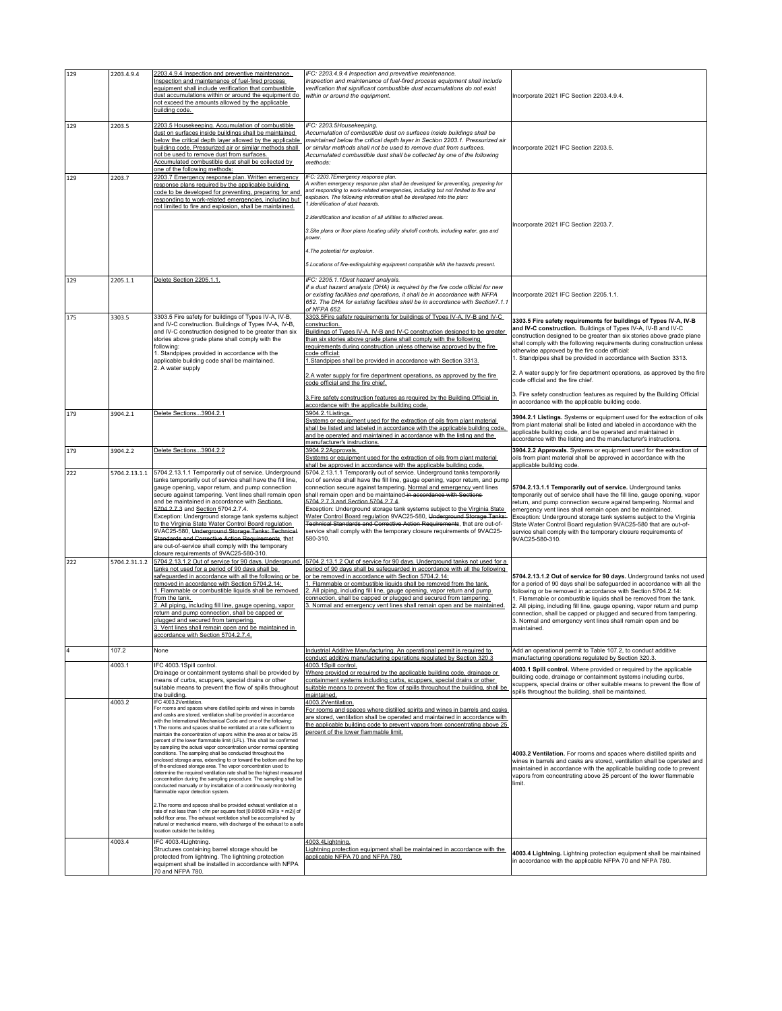| 129 | 2203.4.9.4    | 2203.4.9.4 Inspection and preventive maintenance.                                                                                                                                                                                                                                                                                                                                                                                                                                                                                                                                                                                                                                                                                                                                                                                                                                                                                                                                                                                                                                                                                                                                                                                                                                                                            | IFC: 2203.4.9.4 Inspection and preventive maintenance.                                                                                                                                                                                                                                                                                                                                                                                                                                                                                                                                                                                                              |                                                                                                                                                                                                                                                                                                                                                                                                                                                                                                                                                                                                             |  |
|-----|---------------|------------------------------------------------------------------------------------------------------------------------------------------------------------------------------------------------------------------------------------------------------------------------------------------------------------------------------------------------------------------------------------------------------------------------------------------------------------------------------------------------------------------------------------------------------------------------------------------------------------------------------------------------------------------------------------------------------------------------------------------------------------------------------------------------------------------------------------------------------------------------------------------------------------------------------------------------------------------------------------------------------------------------------------------------------------------------------------------------------------------------------------------------------------------------------------------------------------------------------------------------------------------------------------------------------------------------------|---------------------------------------------------------------------------------------------------------------------------------------------------------------------------------------------------------------------------------------------------------------------------------------------------------------------------------------------------------------------------------------------------------------------------------------------------------------------------------------------------------------------------------------------------------------------------------------------------------------------------------------------------------------------|-------------------------------------------------------------------------------------------------------------------------------------------------------------------------------------------------------------------------------------------------------------------------------------------------------------------------------------------------------------------------------------------------------------------------------------------------------------------------------------------------------------------------------------------------------------------------------------------------------------|--|
|     |               | Inspection and maintenance of fuel-fired process<br>equipment shall include verification that combustible<br>dust accumulations within or around the equipment do<br>not exceed the amounts allowed by the applicable<br>building code.                                                                                                                                                                                                                                                                                                                                                                                                                                                                                                                                                                                                                                                                                                                                                                                                                                                                                                                                                                                                                                                                                      | Inspection and maintenance of fuel-fired process equipment shall include<br>verification that significant combustible dust accumulations do not exist<br>within or around the equipment.                                                                                                                                                                                                                                                                                                                                                                                                                                                                            | Incorporate 2021 IFC Section 2203.4.9.4.                                                                                                                                                                                                                                                                                                                                                                                                                                                                                                                                                                    |  |
| 129 | 2203.5        | 2203.5 Housekeeping. Accumulation of combustible<br>dust on surfaces inside buildings shall be maintained<br>below the critical depth layer allowed by the applicable<br>building code. Pressurized air or similar methods shall<br>not be used to remove dust from surfaces.<br>Accumulated combustible dust shall be collected by<br>one of the following methods:                                                                                                                                                                                                                                                                                                                                                                                                                                                                                                                                                                                                                                                                                                                                                                                                                                                                                                                                                         | IFC: 2203.5Housekeeping.<br>Accumulation of combustible dust on surfaces inside buildings shall be<br>maintained below the critical depth layer in Section 2203.1. Pressurized air<br>or similar methods shall not be used to remove dust from surfaces.<br>Accumulated combustible dust shall be collected by one of the following<br>methods:                                                                                                                                                                                                                                                                                                                     | Incorporate 2021 IFC Section 2203.5.                                                                                                                                                                                                                                                                                                                                                                                                                                                                                                                                                                        |  |
| 129 | 2203.7        | 2203.7 Emergency response plan. Written emergency<br>response plans required by the applicable building<br>code to be developed for preventing, preparing for and<br>responding to work-related emergencies, including but<br>not limited to fire and explosion, shall be maintained.                                                                                                                                                                                                                                                                                                                                                                                                                                                                                                                                                                                                                                                                                                                                                                                                                                                                                                                                                                                                                                        | IFC: 2203.7Emergency response plan.<br>A written emergency response plan shall be developed for preventing, preparing for<br>and responding to work-related emergencies, including but not limited to fire and<br>explosion. The following information shall be developed into the plan:<br>.Identification of dust hazards.<br>2. Identification and location of all utilities to affected areas.<br>3. Site plans or floor plans locating utility shutoff controls, including water, gas and<br>power.<br>4. The potential for explosion.<br>5. Locations of fire-extinguishing equipment compatible with the hazards present.                                    | Incorporate 2021 IFC Section 2203.7.                                                                                                                                                                                                                                                                                                                                                                                                                                                                                                                                                                        |  |
| 129 | 2205.1.1      | Delete Section 2205.1.1.                                                                                                                                                                                                                                                                                                                                                                                                                                                                                                                                                                                                                                                                                                                                                                                                                                                                                                                                                                                                                                                                                                                                                                                                                                                                                                     | IFC: 2205.1.1Dust hazard analysis.<br>If a dust hazard analysis (DHA) is required by the fire code official for new<br>or existing facilities and operations, it shall be in accordance with NFPA<br>652. The DHA for existing facilities shall be in accordance with Section7.1.1<br>of NFPA 652.                                                                                                                                                                                                                                                                                                                                                                  | Incorporate 2021 IFC Section 2205.1.1.                                                                                                                                                                                                                                                                                                                                                                                                                                                                                                                                                                      |  |
| 175 | 3303.5        | 3303.5 Fire safety for buildings of Types IV-A, IV-B,<br>and IV-C construction. Buildings of Types IV-A, IV-B,<br>and IV-C construction designed to be greater than six<br>stories above grade plane shall comply with the<br>following:<br>1. Standpipes provided in accordance with the<br>applicable building code shall be maintained.<br>2. A water supply                                                                                                                                                                                                                                                                                                                                                                                                                                                                                                                                                                                                                                                                                                                                                                                                                                                                                                                                                              | 3303.5Fire safety requirements for buildings of Types IV-A, IV-B and IV-C<br>construction.<br>Buildings of Types IV-A, IV-B and IV-C construction designed to be greater<br>than six stories above grade plane shall comply with the following<br>requirements during construction unless otherwise approved by the fire<br>code official:<br>1.Standpipes shall be provided in accordance with Section 3313.<br>2.A water supply for fire department operations, as approved by the fire<br>code official and the fire chief.                                                                                                                                      | 3303.5 Fire safety requirements for buildings of Types IV-A, IV-B<br>and IV-C construction. Buildings of Types IV-A. IV-B and IV-C<br>construction designed to be greater than six stories above grade plane<br>shall comply with the following requirements during construction unless<br>otherwise approved by the fire code official:<br>1. Standpipes shall be provided in accordance with Section 3313.<br>2. A water supply for fire department operations, as approved by the fire<br>code official and the fire chief.<br>3. Fire safety construction features as required by the Building Official |  |
|     |               |                                                                                                                                                                                                                                                                                                                                                                                                                                                                                                                                                                                                                                                                                                                                                                                                                                                                                                                                                                                                                                                                                                                                                                                                                                                                                                                              | 3. Fire safety construction features as required by the Building Official in<br>accordance with the applicable building code.                                                                                                                                                                                                                                                                                                                                                                                                                                                                                                                                       | in accordance with the applicable building code.                                                                                                                                                                                                                                                                                                                                                                                                                                                                                                                                                            |  |
| 179 | 3904.2.1      | Delete Sections3904.2.1                                                                                                                                                                                                                                                                                                                                                                                                                                                                                                                                                                                                                                                                                                                                                                                                                                                                                                                                                                                                                                                                                                                                                                                                                                                                                                      | 3904.2.1Listings.<br>Systems or equipment used for the extraction of oils from plant material<br>shall be listed and labeled in accordance with the applicable building code,<br>and be operated and maintained in accordance with the listing and the<br>manufacturer's instructions.                                                                                                                                                                                                                                                                                                                                                                              | 3904.2.1 Listings. Systems or equipment used for the extraction of oils<br>from plant material shall be listed and labeled in accordance with the<br>applicable building code, and be operated and maintained in<br>accordance with the listing and the manufacturer's instructions.                                                                                                                                                                                                                                                                                                                        |  |
| 179 | 3904.2.2      | Delete Sections3904.2.2                                                                                                                                                                                                                                                                                                                                                                                                                                                                                                                                                                                                                                                                                                                                                                                                                                                                                                                                                                                                                                                                                                                                                                                                                                                                                                      | 3904.2.2Approvals.<br>Systems or equipment used for the extraction of oils from plant material<br>shall be approved in accordance with the applicable building code.                                                                                                                                                                                                                                                                                                                                                                                                                                                                                                | 3904.2.2 Approvals. Systems or equipment used for the extraction of<br>oils from plant material shall be approved in accordance with the<br>applicable building code.                                                                                                                                                                                                                                                                                                                                                                                                                                       |  |
| 222 |               | 5704.2.13.1.1 5704.2.13.1.1 Temporarily out of service. Underground<br>tanks temporarily out of service shall have the fill line,<br>gauge opening, vapor return, and pump connection<br>secure against tampering. Vent lines shall remain open<br>and be maintained in accordance with Sections-<br>5704.2.7.3 and Section 5704.2.7.4.<br>Exception: Underground storage tank systems subject<br>to the Virginia State Water Control Board regulation<br>9VAC25-580, Underground Storage Tanks: Technical-<br>Standards and Corrective Action Requirements, that<br>are out-of-service shall comply with the temporary<br>closure requirements of 9VAC25-580-310.                                                                                                                                                                                                                                                                                                                                                                                                                                                                                                                                                                                                                                                           | 5704.2.13.1.1 Temporarily out of service. Underground tanks temporarily<br>out of service shall have the fill line, gauge opening, vapor return, and pump<br>connection secure against tampering. Normal and emergency vent lines<br>shall remain open and be maintained in accordance with Sections<br>5704.2.7.3 and Section 5704.2.7.4.<br>Exception: Underground storage tank systems subject to the Virginia State<br>Water Control Board regulation 9VAC25-580, Underground Storage Tanks:<br>Fechnical Standards and Corrective Action Requirements, that are out-of-<br>service shall comply with the temporary closure requirements of 9VAC25-<br>580-310. | 5704.2.13.1.1 Temporarily out of service. Underground tanks<br>temporarily out of service shall have the fill line, gauge opening, vapor<br>return, and pump connection secure against tampering. Normal and<br>emergency vent lines shall remain open and be maintained.<br>Exception: Underground storage tank systems subject to the Virginia<br>State Water Control Board regulation 9VAC25-580 that are out-of-<br>service shall comply with the temporary closure requirements of<br>9VAC25-580-310.                                                                                                  |  |
| 222 | 5704.2.31.1.2 | 5704.2.13.1.2 Out of service for 90 days. Underground<br>tanks not used for a period of 90 days shall be<br>safeguarded in accordance with all the following or be<br>removed in accordance with Section 5704.2.14:<br>I. Flammable or combustible liquids shall be removed<br>rom the tank.<br>. All piping, including fill line, gauge opening, vapor<br>eturn and pump connection, shall be capped or<br>plugged and secured from tampering.<br>3. Vent lines shall remain open and be maintained in<br>accordance with Section 5704.2.7.4.                                                                                                                                                                                                                                                                                                                                                                                                                                                                                                                                                                                                                                                                                                                                                                               | 5704.2.13.1.2 Out of service for 90 days. Underground tanks not used for a<br>period of 90 days shall be safeguarded in accordance with all the following<br>or be removed in accordance with Section 5704.2.14:<br>. Flammable or combustible liquids shall be removed from the tank.<br>. All piping, including fill line, gauge opening, vapor return and pump<br>connection, shall be capped or plugged and secured from tampering.<br>. Normal and emergency vent lines shall remain open and be maintained                                                                                                                                                    | 5704.2.13.1.2 Out of service for 90 days. Underground tanks not used<br>for a period of 90 days shall be safeguarded in accordance with all the<br>following or be removed in accordance with Section 5704.2.14:<br>1. Flammable or combustible liquids shall be removed from the tank.<br>2. All piping, including fill line, gauge opening, vapor return and pump<br>connection, shall be capped or plugged and secured from tampering.<br>3. Normal and emergency vent lines shall remain open and be<br>maintained.                                                                                     |  |
|     | 107.2         | None                                                                                                                                                                                                                                                                                                                                                                                                                                                                                                                                                                                                                                                                                                                                                                                                                                                                                                                                                                                                                                                                                                                                                                                                                                                                                                                         | Industrial Additive Manufacturing. An operational permit is required to<br>conduct additive manufacturing operations regulated by Section 320.3                                                                                                                                                                                                                                                                                                                                                                                                                                                                                                                     | Add an operational permit to Table 107.2, to conduct additive<br>manufacturing operations regulated by Section 320.3.                                                                                                                                                                                                                                                                                                                                                                                                                                                                                       |  |
|     | 4003.1        | IFC 4003.1Spill control.<br>Drainage or containment systems shall be provided by<br>means of curbs, scuppers, special drains or other<br>suitable means to prevent the flow of spills throughout<br>the building.                                                                                                                                                                                                                                                                                                                                                                                                                                                                                                                                                                                                                                                                                                                                                                                                                                                                                                                                                                                                                                                                                                            | 4003.1Spill control.<br>Where provided or required by the applicable building code, drainage or<br>containment systems including curbs, scuppers, special drains or other<br>suitable means to prevent the flow of spills throughout the building, shall be<br>maintained.                                                                                                                                                                                                                                                                                                                                                                                          | 4003.1 Spill control. Where provided or required by the applicable<br>building code, drainage or containment systems including curbs,<br>scuppers, special drains or other suitable means to prevent the flow of<br>spills throughout the building, shall be maintained.                                                                                                                                                                                                                                                                                                                                    |  |
|     | 4003.2        | IFC 4003 2Ventilation<br>For rooms and spaces where distilled spirits and wines in barrels<br>and casks are stored, ventilation shall be provided in accordance<br>with the International Mechanical Code and one of the following:<br>1. The rooms and spaces shall be ventilated at a rate sufficient to<br>maintain the concentration of vapors within the area at or below 25<br>percent of the lower flammable limit (LFL). This shall be confirmed<br>by sampling the actual vapor concentration under normal operating<br>conditions. The sampling shall be conducted throughout the<br>enclosed storage area, extending to or toward the bottom and the top<br>of the enclosed storage area. The vapor concentration used to<br>determine the required ventilation rate shall be the highest measured<br>concentration during the sampling procedure. The sampling shall be<br>conducted manually or by installation of a continuously monitoring<br>flammable vapor detection system.<br>2. The rooms and spaces shall be provided exhaust ventilation at a<br>rate of not less than 1 cfm per square foot [0.00508 m3/(s × m2)] of<br>solid floor area. The exhaust ventilation shall be accomplished by<br>natural or mechanical means, with discharge of the exhaust to a safe<br>location outside the building. | 4003.2Ventilation.<br>For rooms and spaces where distilled spirits and wines in barrels and casks<br>are stored, ventilation shall be operated and maintained in accordance with<br>the applicable building code to prevent vapors from concentrating above 25<br>bercent of the lower flammable limit.                                                                                                                                                                                                                                                                                                                                                             | 4003.2 Ventilation. For rooms and spaces where distilled spirits and<br>wines in barrels and casks are stored, ventilation shall be operated and<br>maintained in accordance with the applicable building code to prevent<br>vapors from concentrating above 25 percent of the lower flammable<br>limit.                                                                                                                                                                                                                                                                                                    |  |
|     | 4003.4        | IFC 4003.4Lightning.<br>Structures containing barrel storage should be<br>protected from lightning. The lightning protection<br>equipment shall be installed in accordance with NFPA<br>70 and NFPA 780.                                                                                                                                                                                                                                                                                                                                                                                                                                                                                                                                                                                                                                                                                                                                                                                                                                                                                                                                                                                                                                                                                                                     | 4003.4Lightning.<br>Lightning protection equipment shall be maintained in accordance with the<br>applicable NFPA 70 and NFPA 780.                                                                                                                                                                                                                                                                                                                                                                                                                                                                                                                                   | 4003.4 Lightning. Lightning protection equipment shall be maintained<br>in accordance with the applicable NFPA 70 and NFPA 780.                                                                                                                                                                                                                                                                                                                                                                                                                                                                             |  |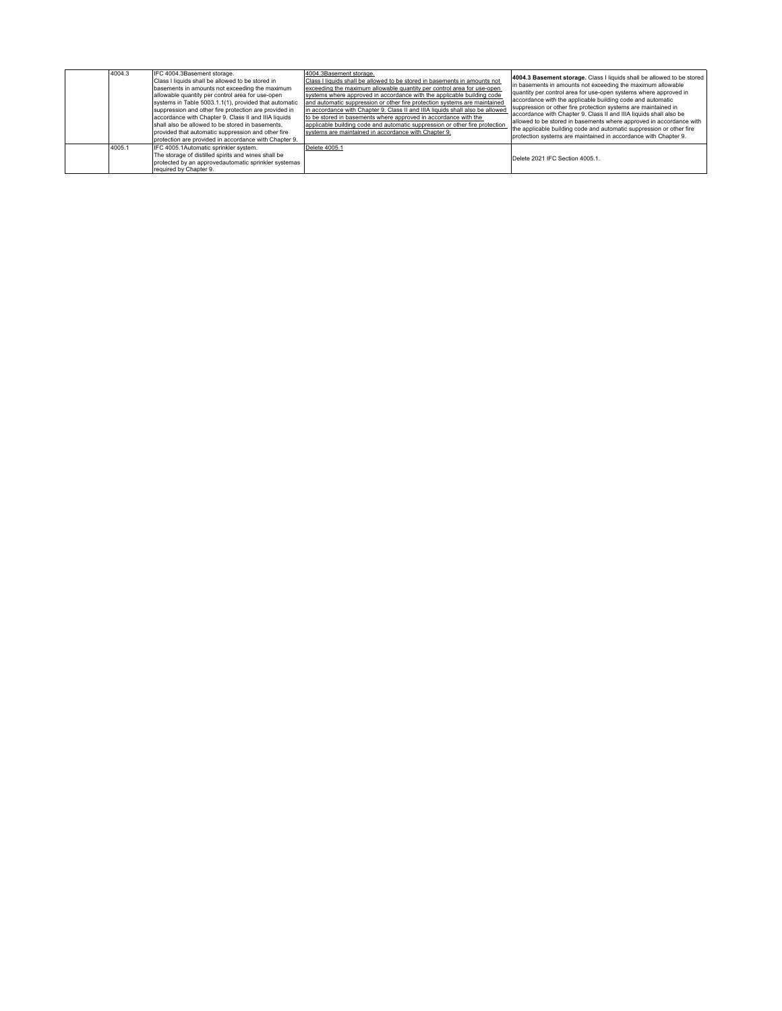| 4004.3 | IFC 4004.3Basement storage.<br>Class I liquids shall be allowed to be stored in<br>basements in amounts not exceeding the maximum<br>allowable quantity per control area for use-open<br>systems in Table 5003.1.1(1), provided that automatic<br>suppression and other fire protection are provided in<br>accordance with Chapter 9. Class II and IIIA liquids<br>shall also be allowed to be stored in basements.<br>provided that automatic suppression and other fire<br>protection are provided in accordance with Chapter 9. | 4004.3Basement storage.<br>Class I liquids shall be allowed to be stored in basements in amounts not<br>exceeding the maximum allowable quantity per control area for use-open<br>systems where approved in accordance with the applicable building code<br>and automatic suppression or other fire protection systems are maintained<br>in accordance with Chapter 9. Class II and IIIA liquids shall also be allowed<br>to be stored in basements where approved in accordance with the<br>applicable building code and automatic suppression or other fire protection<br>systems are maintained in accordance with Chapter 9. | 4004.3 Basement storage. Class I liquids shall be allowed to be stored<br>in basements in amounts not exceeding the maximum allowable<br>quantity per control area for use-open systems where approved in<br>accordance with the applicable building code and automatic<br>suppression or other fire protection systems are maintained in<br>accordance with Chapter 9. Class II and IIIA liquids shall also be<br>allowed to be stored in basements where approved in accordance with<br>the applicable building code and automatic suppression or other fire<br>protection systems are maintained in accordance with Chapter 9. |
|--------|------------------------------------------------------------------------------------------------------------------------------------------------------------------------------------------------------------------------------------------------------------------------------------------------------------------------------------------------------------------------------------------------------------------------------------------------------------------------------------------------------------------------------------|----------------------------------------------------------------------------------------------------------------------------------------------------------------------------------------------------------------------------------------------------------------------------------------------------------------------------------------------------------------------------------------------------------------------------------------------------------------------------------------------------------------------------------------------------------------------------------------------------------------------------------|-----------------------------------------------------------------------------------------------------------------------------------------------------------------------------------------------------------------------------------------------------------------------------------------------------------------------------------------------------------------------------------------------------------------------------------------------------------------------------------------------------------------------------------------------------------------------------------------------------------------------------------|
| 4005.1 | IFC 4005.1Automatic sprinkler system.<br>The storage of distilled spirits and wines shall be<br>protected by an approvedautomatic sprinkler systemas<br>required by Chapter 9.                                                                                                                                                                                                                                                                                                                                                     | Delete 4005.1                                                                                                                                                                                                                                                                                                                                                                                                                                                                                                                                                                                                                    | Delete 2021 IFC Section 4005.1.                                                                                                                                                                                                                                                                                                                                                                                                                                                                                                                                                                                                   |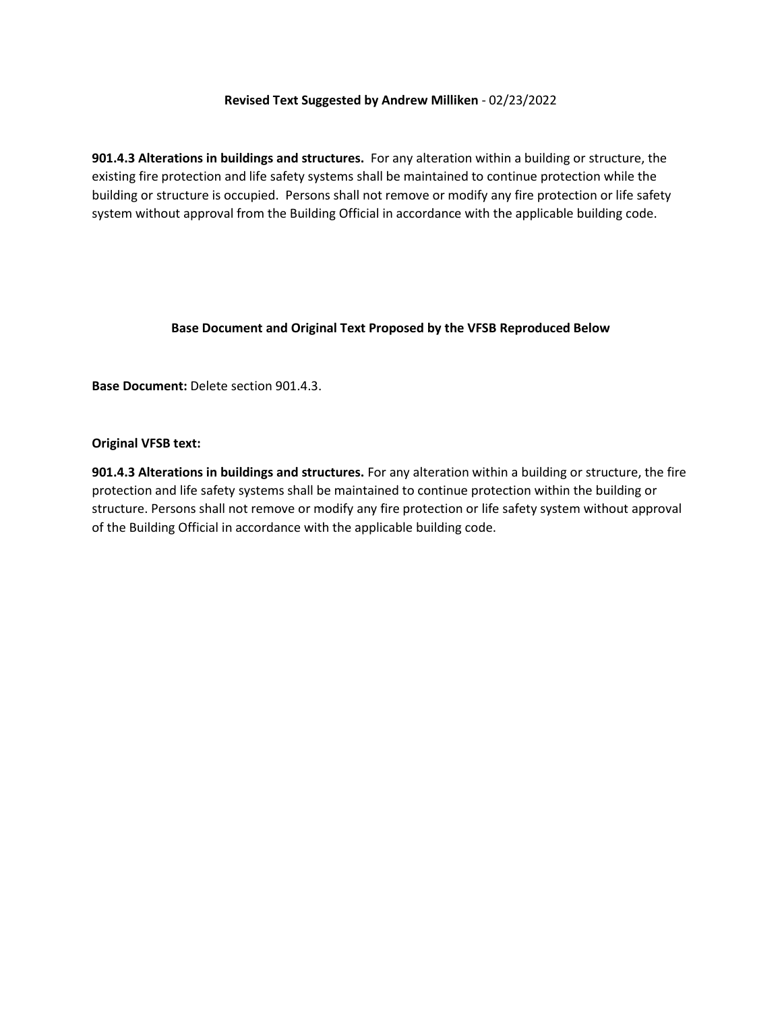## **Revised Text Suggested by Andrew Milliken** - 02/23/2022

**901.4.3 Alterations in buildings and structures.** For any alteration within a building or structure, the existing fire protection and life safety systems shall be maintained to continue protection while the building or structure is occupied. Persons shall not remove or modify any fire protection or life safety system without approval from the Building Official in accordance with the applicable building code.

## **Base Document and Original Text Proposed by the VFSB Reproduced Below**

**Base Document:** Delete section 901.4.3.

#### **Original VFSB text:**

**901.4.3 Alterations in buildings and structures.** For any alteration within a building or structure, the fire protection and life safety systems shall be maintained to continue protection within the building or structure. Persons shall not remove or modify any fire protection or life safety system without approval of the Building Official in accordance with the applicable building code.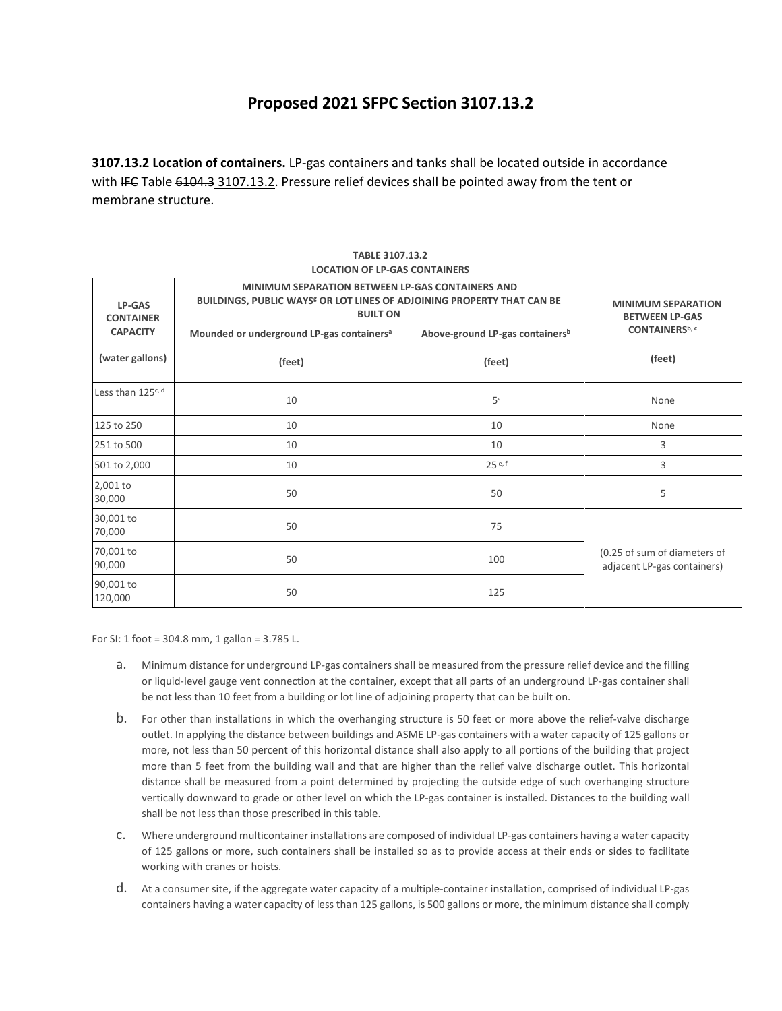# **Proposed 2021 SFPC Section 3107.13.2**

**3107.13.2 Location of containers.** LP-gas containers and tanks shall be located outside in accordance with IFC Table 6104.3 3107.13.2. Pressure relief devices shall be pointed away from the tent or membrane structure.

| LP-GAS<br><b>CONTAINER</b>    | <b>MINIMUM SEPARATION BETWEEN LP-GAS CONTAINERS AND</b><br>BUILDINGS, PUBLIC WAYS <sup>8</sup> OR LOT LINES OF ADJOINING PROPERTY THAT CAN BE<br><b>BUILT ON</b> | <b>MINIMUM SEPARATION</b><br><b>BETWEEN LP-GAS</b> |                                                             |
|-------------------------------|------------------------------------------------------------------------------------------------------------------------------------------------------------------|----------------------------------------------------|-------------------------------------------------------------|
| <b>CAPACITY</b>               | Mounded or underground LP-gas containers <sup>a</sup>                                                                                                            | Above-ground LP-gas containers <sup>b</sup>        | CONTAINERS <sup>b, c</sup>                                  |
| (water gallons)               | (feet)                                                                                                                                                           | (feet)                                             | (feet)                                                      |
| Less than 125 <sup>c, d</sup> | 10                                                                                                                                                               | 5 <sup>e</sup>                                     | None                                                        |
| 125 to 250                    | 10                                                                                                                                                               | 10                                                 | None                                                        |
| 251 to 500                    | 10                                                                                                                                                               | 10                                                 | 3                                                           |
| 501 to 2,000                  | 10                                                                                                                                                               | 25e, f                                             | 3                                                           |
| 2,001 to<br>30,000            | 50                                                                                                                                                               | 50                                                 | 5                                                           |
| 30,001 to<br>70,000           | 50                                                                                                                                                               | 75                                                 |                                                             |
| 70,001 to<br>90,000           | 50                                                                                                                                                               | 100                                                | (0.25 of sum of diameters of<br>adjacent LP-gas containers) |
| 90,001 to<br>120,000          | 50                                                                                                                                                               | 125                                                |                                                             |

#### **TABLE 3107.13.2 LOCATION OF LP-GAS CONTAINERS**

For SI: 1 foot = 304.8 mm, 1 gallon = 3.785 L.

- a. Minimum distance for underground LP-gas containers shall be measured from the pressure relief device and the filling or liquid-level gauge vent connection at the container, except that all parts of an underground LP-gas container shall be not less than 10 feet from a building or lot line of adjoining property that can be built on.
- b. For other than installations in which the overhanging structure is 50 feet or more above the relief-valve discharge outlet. In applying the distance between buildings and ASME LP-gas containers with a water capacity of 125 gallons or more, not less than 50 percent of this horizontal distance shall also apply to all portions of the building that project more than 5 feet from the building wall and that are higher than the relief valve discharge outlet. This horizontal distance shall be measured from a point determined by projecting the outside edge of such overhanging structure vertically downward to grade or other level on which the LP-gas container is installed. Distances to the building wall shall be not less than those prescribed in this table.
- c. Where underground multicontainer installations are composed of individual LP-gas containers having a water capacity of 125 gallons or more, such containers shall be installed so as to provide access at their ends or sides to facilitate working with cranes or hoists.
- d. At a consumer site, if the aggregate water capacity of a multiple-container installation, comprised of individual LP-gas containers having a water capacity of less than 125 gallons, is 500 gallons or more, the minimum distance shall comply